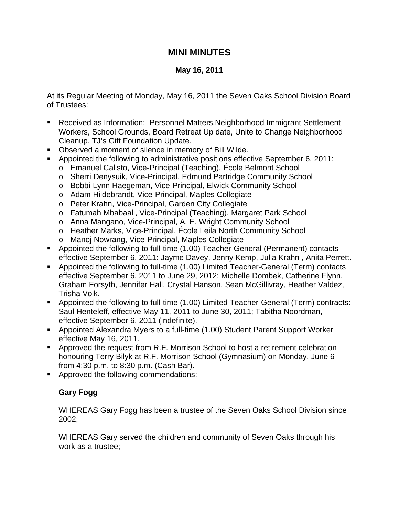## **MINI MINUTES**

## **May 16, 2011**

At its Regular Meeting of Monday, May 16, 2011 the Seven Oaks School Division Board of Trustees:

- Received as Information: Personnel Matters,Neighborhood Immigrant Settlement Workers, School Grounds, Board Retreat Up date, Unite to Change Neighborhood Cleanup, TJ's Gift Foundation Update.
- Observed a moment of silence in memory of Bill Wilde.
- Appointed the following to administrative positions effective September 6, 2011:
	- o Emanuel Calisto, Vice-Principal (Teaching), École Belmont School
	- o Sherri Denysuik, Vice-Principal, Edmund Partridge Community School
	- o Bobbi-Lynn Haegeman, Vice-Principal, Elwick Community School
	- o Adam Hildebrandt, Vice-Principal, Maples Collegiate
	- o Peter Krahn, Vice-Principal, Garden City Collegiate
	- o Fatumah Mbabaali, Vice-Principal (Teaching), Margaret Park School
	- o Anna Mangano, Vice-Principal, A. E. Wright Community School
	- o Heather Marks, Vice-Principal, École Leila North Community School
	- o Manoj Nowrang, Vice-Principal, Maples Collegiate
- Appointed the following to full-time (1.00) Teacher-General (Permanent) contacts effective September 6, 2011: Jayme Davey, Jenny Kemp, Julia Krahn , Anita Perrett.
- Appointed the following to full-time (1.00) Limited Teacher-General (Term) contacts effective September 6, 2011 to June 29, 2012: Michelle Dombek, Catherine Flynn, Graham Forsyth, Jennifer Hall, Crystal Hanson, Sean McGillivray, Heather Valdez, Trisha Volk.
- Appointed the following to full-time (1.00) Limited Teacher-General (Term) contracts: Saul Henteleff, effective May 11, 2011 to June 30, 2011; Tabitha Noordman, effective September 6, 2011 (indefinite).
- Appointed Alexandra Myers to a full-time (1.00) Student Parent Support Worker effective May 16, 2011.
- Approved the request from R.F. Morrison School to host a retirement celebration honouring Terry Bilyk at R.F. Morrison School (Gymnasium) on Monday, June 6 from 4:30 p.m. to 8:30 p.m. (Cash Bar).
- Approved the following commendations:

## **Gary Fogg**

WHEREAS Gary Fogg has been a trustee of the Seven Oaks School Division since 2002;

WHEREAS Gary served the children and community of Seven Oaks through his work as a trustee;